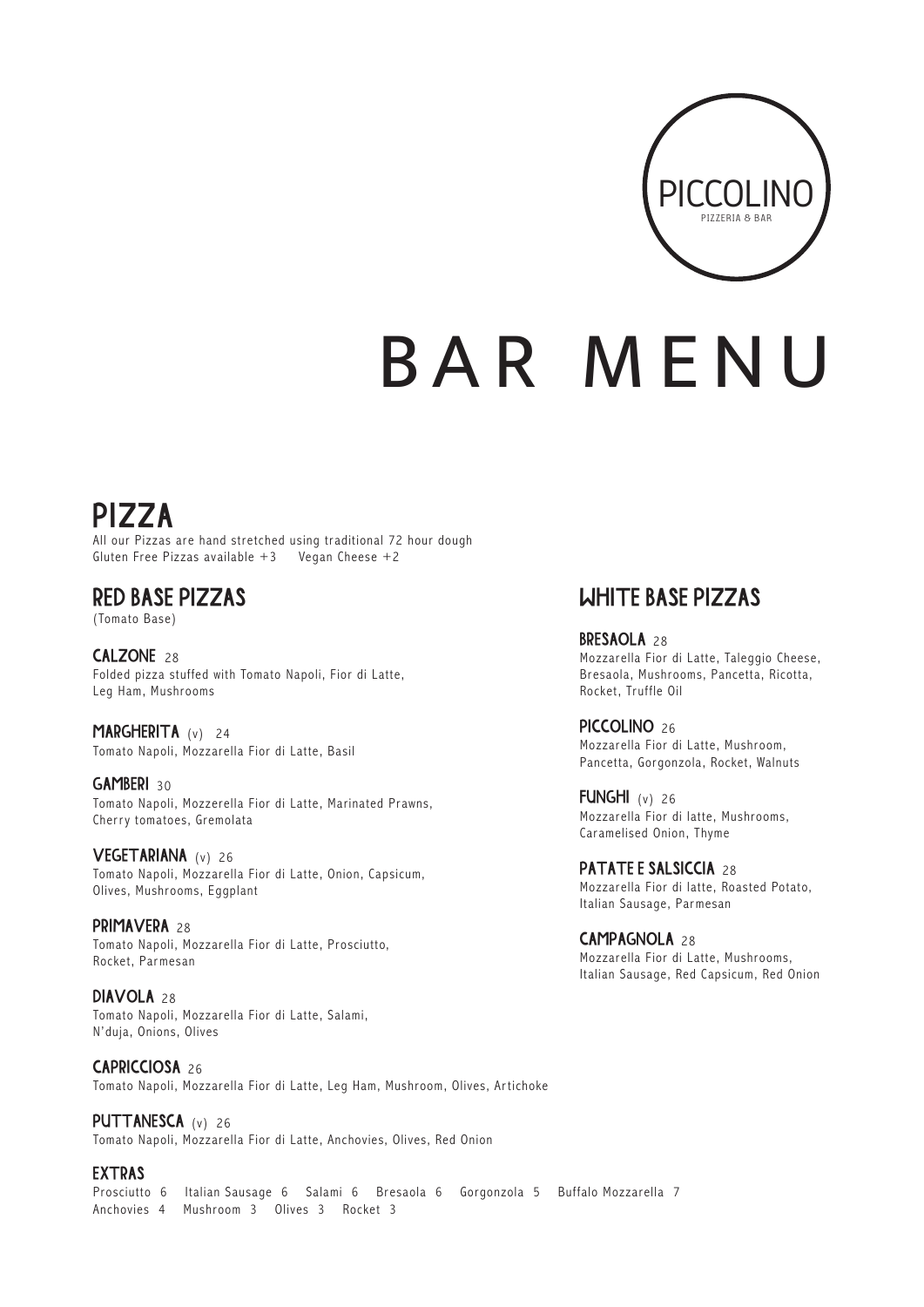

# BAR MENU

### PIZZA

All our Pizzas are hand stretched using traditional 72 hour dough Gluten Free Pizzas available  $+3$  Vegan Cheese  $+2$ 

### RED BASE PIZZAS

(Tomato Base)

CALZONE 28 Folded pizza stuffed with Tomato Napoli, Fior di Latte, Leg Ham, Mushrooms

MARGHERITA (v) 24 Tomato Napoli, Mozzarella Fior di Latte, Basil

GAMBERI 30 Tomato Napoli, Mozzerella Fior di Latte, Marinated Prawns, Cherry tomatoes, Gremolata

VEGETARIANA (v) 26 Tomato Napoli, Mozzarella Fior di Latte, Onion, Capsicum, Olives, Mushrooms, Eggplant

PRIMAVERA<sub>28</sub> Tomato Napoli, Mozzarella Fior di Latte, Prosciutto, Rocket, Parmesan

DIAVOLA<sub>28</sub> Tomato Napoli, Mozzarella Fior di Latte, Salami, N'duja, Onions, Olives

CAPRICCIOSA 26 Tomato Napoli, Mozzarella Fior di Latte, Leg Ham, Mushroom, Olives, Ar tichoke

PUTTANESCA (v) 26 Tomato Napoli, Mozzarella Fior di Latte, Anchovies, Olives, Red Onion

EXTRAS Prosciutto 6 Italian Sausage 6 Salami 6 Bresaola 6 Gorgonzola 5 Buffalo Mozzarella 7 Anchovies 4 Mushroom 3 Olives 3 Rocket 3

### WHITE BASE PIZZAS

BRESAOLA 28 Mozzarella Fior di Latte, Taleggio Cheese, Bresaola, Mushrooms, Pancetta, Ricotta, Rocket, Truffle Oil

PICCOLINO<sub>26</sub> Mozzarella Fior di Latte, Mushroom, Pancetta, Gorgonzola, Rocket, Walnuts

FUNGHI (v) 26 Mozzarella Fior di latte, Mushrooms, Caramelised Onion, Thyme

PATATE E SALSICCIA 28 Mozzarella Fior di latte, Roasted Potato, Italian Sausage, Parmesan

CAMPAGNOLA 28 Mozzarella Fior di Latte, Mushrooms, Italian Sausage, Red Capsicum, Red Onion